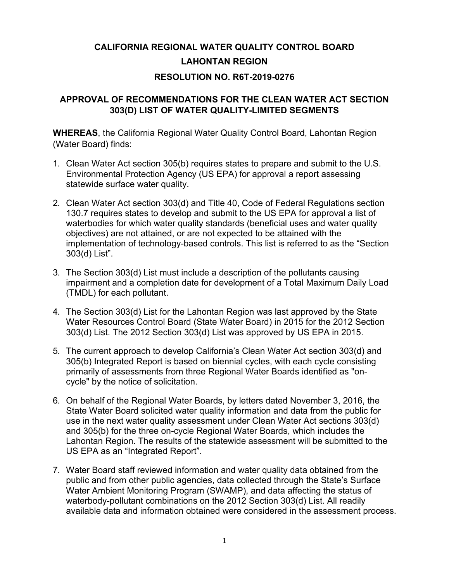# **CALIFORNIA REGIONAL WATER QUALITY CONTROL BOARD LAHONTAN REGION RESOLUTION NO. R6T-2019-0276**

#### **APPROVAL OF RECOMMENDATIONS FOR THE CLEAN WATER ACT SECTION 303(D) LIST OF WATER QUALITY-LIMITED SEGMENTS**

**WHEREAS**, the California Regional Water Quality Control Board, Lahontan Region (Water Board) finds:

- 1. Clean Water Act section 305(b) requires states to prepare and submit to the U.S. Environmental Protection Agency (US EPA) for approval a report assessing statewide surface water quality.
- 2. Clean Water Act section 303(d) and Title 40, Code of Federal Regulations section 130.7 requires states to develop and submit to the US EPA for approval a list of waterbodies for which water quality standards (beneficial uses and water quality objectives) are not attained, or are not expected to be attained with the implementation of technology-based controls. This list is referred to as the "Section 303(d) List".
- 3. The Section 303(d) List must include a description of the pollutants causing impairment and a completion date for development of a Total Maximum Daily Load (TMDL) for each pollutant.
- 4. The Section 303(d) List for the Lahontan Region was last approved by the State Water Resources Control Board (State Water Board) in 2015 for the 2012 Section 303(d) List. The 2012 Section 303(d) List was approved by US EPA in 2015.
- 5. The current approach to develop California's Clean Water Act section 303(d) and 305(b) Integrated Report is based on biennial cycles, with each cycle consisting primarily of assessments from three Regional Water Boards identified as "oncycle" by the notice of solicitation.
- 6. On behalf of the Regional Water Boards, by letters dated November 3, 2016, the State Water Board solicited water quality information and data from the public for use in the next water quality assessment under Clean Water Act sections 303(d) and 305(b) for the three on-cycle Regional Water Boards, which includes the Lahontan Region. The results of the statewide assessment will be submitted to the US EPA as an "Integrated Report".
- 7. Water Board staff reviewed information and water quality data obtained from the public and from other public agencies, data collected through the State's Surface Water Ambient Monitoring Program (SWAMP), and data affecting the status of waterbody-pollutant combinations on the 2012 Section 303(d) List. All readily available data and information obtained were considered in the assessment process.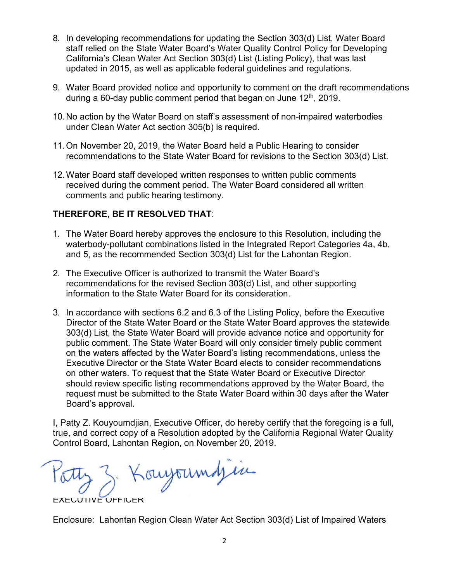- 8. In developing recommendations for updating the Section 303(d) List, Water Board staff relied on the State Water Board's Water Quality Control Policy for Developing California's Clean Water Act Section 303(d) List (Listing Policy), that was last updated in 2015, as well as applicable federal guidelines and regulations.
- 9. Water Board provided notice and opportunity to comment on the draft recommendations during a 60-day public comment period that began on June  $12<sup>th</sup>$ , 2019.
- 10. No action by the Water Board on staff's assessment of non-impaired waterbodies under Clean Water Act section 305(b) is required.
- 11. On November 20, 2019, the Water Board held a Public Hearing to consider recommendations to the State Water Board for revisions to the Section 303(d) List.
- 12. Water Board staff developed written responses to written public comments received during the comment period. The Water Board considered all written comments and public hearing testimony.

### **THEREFORE, BE IT RESOLVED THAT**:

- 1. The Water Board hereby approves the enclosure to this Resolution, including the waterbody-pollutant combinations listed in the Integrated Report Categories 4a, 4b, and 5, as the recommended Section 303(d) List for the Lahontan Region.
- 2. The Executive Officer is authorized to transmit the Water Board's recommendations for the revised Section 303(d) List, and other supporting information to the State Water Board for its consideration.
- 3. In accordance with sections 6.2 and 6.3 of the Listing Policy, before the Executive Director of the State Water Board or the State Water Board approves the statewide 303(d) List, the State Water Board will provide advance notice and opportunity for public comment. The State Water Board will only consider timely public comment on the waters affected by the Water Board's listing recommendations, unless the Executive Director or the State Water Board elects to consider recommendations on other waters. To request that the State Water Board or Executive Director should review specific listing recommendations approved by the Water Board, the request must be submitted to the State Water Board within 30 days after the Water Board's approval.

I, Patty Z. Kouyoumdjian, Executive Officer, do hereby certify that the foregoing is a full, true, and correct copy of a Resolution adopted by the California Regional Water Quality Control Board, Lahontan Region, on November 20, 2019.

 $10002 \rightarrow 1000900$  $\cup$   $\cup$ 

EXECUTIVE OFFICER

Enclosure: Lahontan Region Clean Water Act Section 303(d) List of Impaired Waters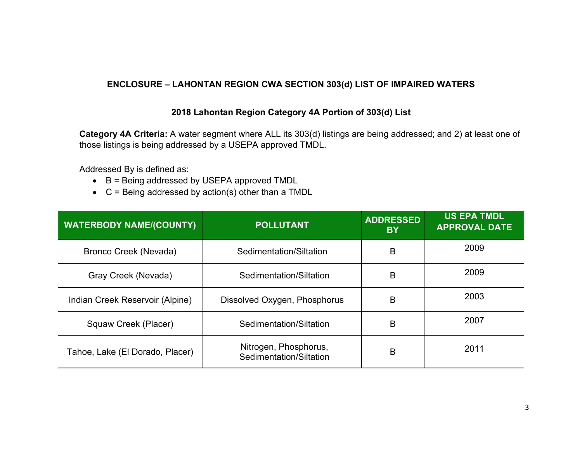#### **ENCLOSURE – LAHONTAN REGION CWA SECTION 303(d) LIST OF IMPAIRED WATERS**

#### **2018 Lahontan Region Category 4A Portion of 303(d) List**

**Category 4A Criteria:** A water segment where ALL its 303(d) listings are being addressed; and 2) at least one of those listings is being addressed by a USEPA approved TMDL.

Addressed By is defined as:

- B = Being addressed by USEPA approved TMDL
- C = Being addressed by action(s) other than a TMDL

| <b>WATERBODY NAME/(COUNTY)</b>  | <b>POLLUTANT</b>                                 | <b>ADDRESSED</b><br><b>BY</b> | <b>US EPA TMDL</b><br><b>APPROVAL DATE</b> |
|---------------------------------|--------------------------------------------------|-------------------------------|--------------------------------------------|
| Bronco Creek (Nevada)           | Sedimentation/Siltation                          | B                             | 2009                                       |
| Gray Creek (Nevada)             | Sedimentation/Siltation                          | B                             | 2009                                       |
| Indian Creek Reservoir (Alpine) | Dissolved Oxygen, Phosphorus                     | B                             | 2003                                       |
| Squaw Creek (Placer)            | Sedimentation/Siltation                          |                               | 2007                                       |
| Tahoe, Lake (El Dorado, Placer) | Nitrogen, Phosphorus,<br>Sedimentation/Siltation | B                             | 2011                                       |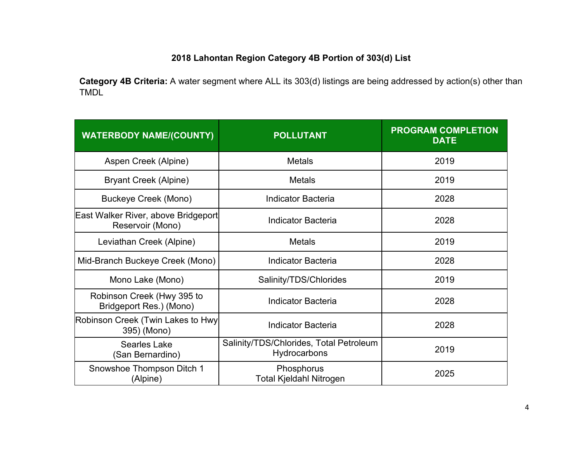## **2018 Lahontan Region Category 4B Portion of 303(d) List**

**Category 4B Criteria:** A water segment where ALL its 303(d) listings are being addressed by action(s) other than TMDL

| <b>WATERBODY NAME/(COUNTY)</b>                          | <b>POLLUTANT</b>                                        | <b>PROGRAM COMPLETION</b><br><b>DATE</b> |
|---------------------------------------------------------|---------------------------------------------------------|------------------------------------------|
| Aspen Creek (Alpine)                                    | <b>Metals</b>                                           | 2019                                     |
| <b>Bryant Creek (Alpine)</b>                            | <b>Metals</b>                                           | 2019                                     |
| <b>Buckeye Creek (Mono)</b>                             | <b>Indicator Bacteria</b>                               | 2028                                     |
| East Walker River, above Bridgeport<br>Reservoir (Mono) | <b>Indicator Bacteria</b>                               | 2028                                     |
| Leviathan Creek (Alpine)                                | <b>Metals</b>                                           | 2019                                     |
| Mid-Branch Buckeye Creek (Mono)                         | Indicator Bacteria                                      | 2028                                     |
| Mono Lake (Mono)                                        | Salinity/TDS/Chlorides                                  | 2019                                     |
| Robinson Creek (Hwy 395 to<br>Bridgeport Res.) (Mono)   | Indicator Bacteria                                      | 2028                                     |
| Robinson Creek (Twin Lakes to Hwy<br>395) (Mono)        | <b>Indicator Bacteria</b>                               | 2028                                     |
| <b>Searles Lake</b><br>(San Bernardino)                 | Salinity/TDS/Chlorides, Total Petroleum<br>Hydrocarbons | 2019                                     |
| Snowshoe Thompson Ditch 1<br>(Alpine)                   | Phosphorus<br><b>Total Kjeldahl Nitrogen</b>            | 2025                                     |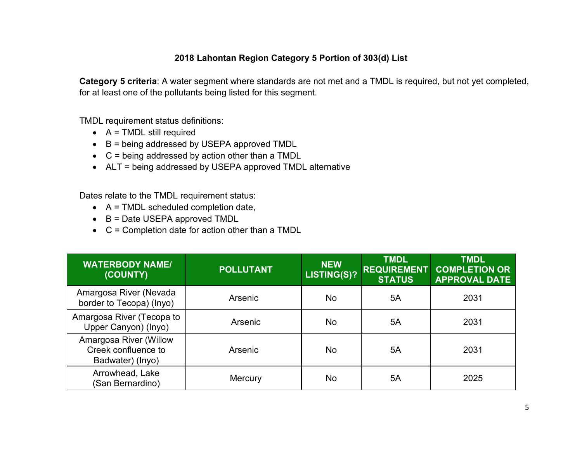#### **2018 Lahontan Region Category 5 Portion of 303(d) List**

**Category 5 criteria**: A water segment where standards are not met and a TMDL is required, but not yet completed, for at least one of the pollutants being listed for this segment.

TMDL requirement status definitions:

- $\bullet$  A = TMDL still required
- B = being addressed by USEPA approved TMDL
- C = being addressed by action other than a TMDL
- ALT = being addressed by USEPA approved TMDL alternative

Dates relate to the TMDL requirement status:

- $\bullet$  A = TMDL scheduled completion date,
- B = Date USEPA approved TMDL
- C = Completion date for action other than a TMDL

| <b>WATERBODY NAME/</b><br>(COUNTY)                                | <b>POLLUTANT</b> | <b>NEW</b><br>LISTING(S)? | <b>TMDL</b><br><b>REQUIREMENT</b><br><b>STATUS</b> | <b>TMDL</b><br><b>COMPLETION OR</b><br><b>APPROVAL DATE</b> |
|-------------------------------------------------------------------|------------------|---------------------------|----------------------------------------------------|-------------------------------------------------------------|
| Amargosa River (Nevada<br>border to Tecopa) (Inyo)                | Arsenic          | No                        | 5A                                                 | 2031                                                        |
| Amargosa River (Tecopa to<br>Upper Canyon) (Inyo)                 | Arsenic          | No                        | 5A                                                 | 2031                                                        |
| Amargosa River (Willow<br>Creek confluence to<br>Badwater) (Inyo) | Arsenic          | No                        | 5A                                                 | 2031                                                        |
| Arrowhead, Lake<br>(San Bernardino)                               | Mercury          | No                        | 5A                                                 | 2025                                                        |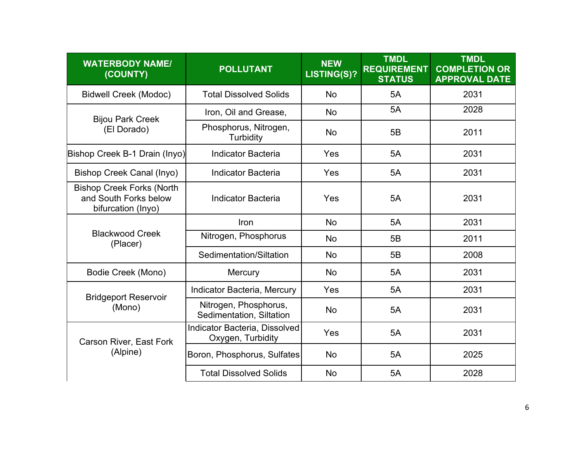| <b>WATERBODY NAME/</b><br>(COUNTY)                                              | <b>POLLUTANT</b>                                   | <b>NEW</b><br>LISTING(S)? | <b>TMDL</b><br><b>REQUIREMENT</b><br><b>STATUS</b> | <b>TMDL</b><br><b>COMPLETION OR</b><br><b>APPROVAL DATE</b> |
|---------------------------------------------------------------------------------|----------------------------------------------------|---------------------------|----------------------------------------------------|-------------------------------------------------------------|
| <b>Bidwell Creek (Modoc)</b>                                                    | <b>Total Dissolved Solids</b>                      | No                        | 5A                                                 | 2031                                                        |
| <b>Bijou Park Creek</b>                                                         | Iron, Oil and Grease,                              | No                        | 5A                                                 | 2028                                                        |
| (El Dorado)                                                                     | Phosphorus, Nitrogen,<br><b>Turbidity</b>          | No                        | 5B                                                 | 2011                                                        |
| Bishop Creek B-1 Drain (Inyo)                                                   | <b>Indicator Bacteria</b>                          | Yes                       | 5A                                                 | 2031                                                        |
| <b>Bishop Creek Canal (Inyo)</b>                                                | <b>Indicator Bacteria</b>                          | Yes                       | 5A                                                 | 2031                                                        |
| <b>Bishop Creek Forks (North</b><br>and South Forks below<br>bifurcation (Inyo) | <b>Indicator Bacteria</b>                          | Yes                       | 5A                                                 | 2031                                                        |
|                                                                                 | Iron                                               | <b>No</b>                 | 5A                                                 | 2031                                                        |
| <b>Blackwood Creek</b><br>(Placer)                                              | Nitrogen, Phosphorus                               | <b>No</b>                 | 5B                                                 | 2011                                                        |
|                                                                                 | Sedimentation/Siltation                            | <b>No</b>                 | 5B                                                 | 2008                                                        |
| Bodie Creek (Mono)                                                              | Mercury                                            | <b>No</b>                 | 5A                                                 | 2031                                                        |
| <b>Bridgeport Reservoir</b>                                                     | Indicator Bacteria, Mercury                        | Yes                       | 5A                                                 | 2031                                                        |
| (Mono)                                                                          | Nitrogen, Phosphorus,<br>Sedimentation, Siltation  | <b>No</b>                 | 5A                                                 | 2031                                                        |
| <b>Carson River, East Fork</b>                                                  | Indicator Bacteria, Dissolved<br>Oxygen, Turbidity | Yes                       | 5A                                                 | 2031                                                        |
| (Alpine)                                                                        | Boron, Phosphorus, Sulfates                        | <b>No</b>                 | 5A                                                 | 2025                                                        |
|                                                                                 | <b>Total Dissolved Solids</b>                      | <b>No</b>                 | 5A                                                 | 2028                                                        |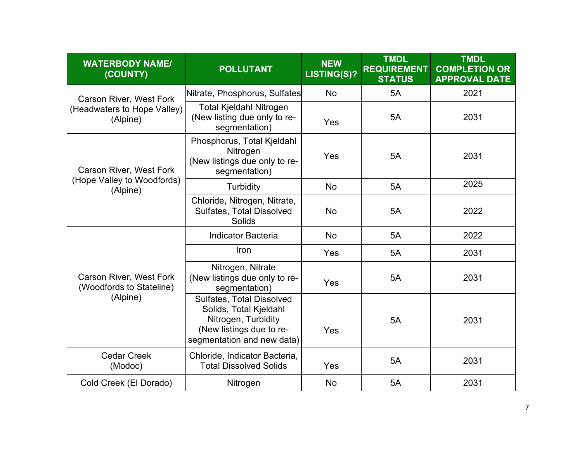| <b>WATERBODY NAME/</b><br>(COUNTY)                         | <b>POLLUTANT</b>                                                                                                                            | <b>NEW</b><br><b>LISTING(S)?</b> | <b>TMDL</b><br><b>REQUIREMENT</b><br><b>STATUS</b> | <b>TMDL</b><br><b>COMPLETION OR</b><br><b>APPROVAL DATE</b> |
|------------------------------------------------------------|---------------------------------------------------------------------------------------------------------------------------------------------|----------------------------------|----------------------------------------------------|-------------------------------------------------------------|
| <b>Carson River, West Fork</b>                             | Nitrate, Phosphorus, Sulfates                                                                                                               | <b>No</b>                        | 5A                                                 | 2021                                                        |
| (Headwaters to Hope Valley)<br>(Alpine)                    | <b>Total Kjeldahl Nitrogen</b><br>(New listing due only to re-<br>segmentation)                                                             | Yes                              | 5A                                                 | 2031                                                        |
| <b>Carson River, West Fork</b>                             | Phosphorus, Total Kjeldahl<br>Nitrogen<br>(New listings due only to re-<br>segmentation)                                                    | Yes                              | 5A                                                 | 2031                                                        |
| (Hope Valley to Woodfords)<br>(Alpine)                     | <b>Turbidity</b>                                                                                                                            | <b>No</b>                        | 5A                                                 | 2025                                                        |
|                                                            | Chloride, Nitrogen, Nitrate,<br>Sulfates, Total Dissolved<br><b>Solids</b>                                                                  | No                               | 5A                                                 | 2022                                                        |
|                                                            | <b>Indicator Bacteria</b>                                                                                                                   | No                               | 5A                                                 | 2022                                                        |
|                                                            | Iron                                                                                                                                        | Yes                              | 5A                                                 | 2031                                                        |
| <b>Carson River, West Fork</b><br>(Woodfords to Stateline) | Nitrogen, Nitrate<br>(New listings due only to re-<br>segmentation)                                                                         | Yes                              | 5A                                                 | 2031                                                        |
| (Alpine)                                                   | <b>Sulfates, Total Dissolved</b><br>Solids, Total Kjeldahl<br>Nitrogen, Turbidity<br>(New listings due to re-<br>segmentation and new data) | Yes                              | 5A                                                 | 2031                                                        |
| <b>Cedar Creek</b><br>(Modoc)                              | Chloride, Indicator Bacteria,<br><b>Total Dissolved Solids</b>                                                                              | Yes                              | 5A                                                 | 2031                                                        |
| Cold Creek (El Dorado)                                     | Nitrogen                                                                                                                                    | No                               | 5A                                                 | 2031                                                        |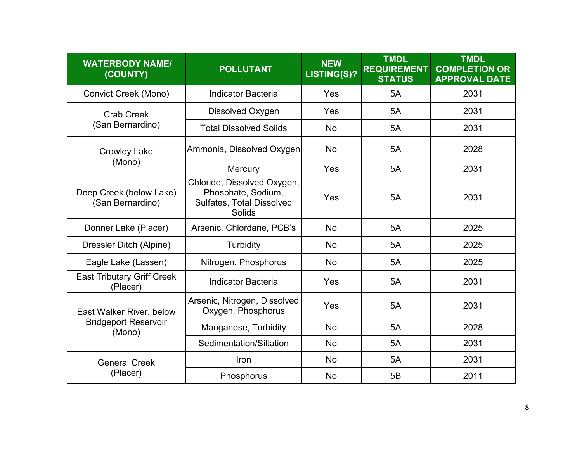| <b>WATERBODY NAME/</b><br>(COUNTY)            | <b>POLLUTANT</b>                                                                                | <b>NEW</b><br>LISTING(S)? | <b>TMDL</b><br><b>REQUIREMENT</b><br><b>STATUS</b> | <b>TMDL</b><br><b>COMPLETION OR</b><br><b>APPROVAL DATE</b> |
|-----------------------------------------------|-------------------------------------------------------------------------------------------------|---------------------------|----------------------------------------------------|-------------------------------------------------------------|
| <b>Convict Creek (Mono)</b>                   | <b>Indicator Bacteria</b>                                                                       | Yes                       | 5A                                                 | 2031                                                        |
| <b>Crab Creek</b>                             | Dissolved Oxygen                                                                                | Yes                       | 5A                                                 | 2031                                                        |
| (San Bernardino)                              | <b>Total Dissolved Solids</b>                                                                   | <b>No</b>                 | 5A                                                 | 2031                                                        |
| <b>Crowley Lake</b>                           | Ammonia, Dissolved Oxygen                                                                       | No                        | 5A                                                 | 2028                                                        |
| (Mono)                                        | Mercury                                                                                         | Yes                       | 5A                                                 | 2031                                                        |
| Deep Creek (below Lake)<br>(San Bernardino)   | Chloride, Dissolved Oxygen,<br>Phosphate, Sodium,<br>Sulfates, Total Dissolved<br><b>Solids</b> | Yes                       | 5A                                                 | 2031                                                        |
| Donner Lake (Placer)                          | Arsenic, Chlordane, PCB's                                                                       | <b>No</b>                 | 5A                                                 | 2025                                                        |
| Dressler Ditch (Alpine)                       | Turbidity                                                                                       | <b>No</b>                 | 5A                                                 | 2025                                                        |
| Eagle Lake (Lassen)                           | Nitrogen, Phosphorus                                                                            | No                        | 5A                                                 | 2025                                                        |
| <b>East Tributary Griff Creek</b><br>(Placer) | <b>Indicator Bacteria</b>                                                                       | Yes                       | 5A                                                 | 2031                                                        |
| East Walker River, below                      | Arsenic, Nitrogen, Dissolved<br>Oxygen, Phosphorus                                              | Yes                       | 5A                                                 | 2031                                                        |
| <b>Bridgeport Reservoir</b><br>(Mono)         | Manganese, Turbidity                                                                            | <b>No</b>                 | 5A                                                 | 2028                                                        |
|                                               | Sedimentation/Siltation                                                                         | <b>No</b>                 | 5A                                                 | 2031                                                        |
| <b>General Creek</b>                          | <b>Iron</b>                                                                                     | <b>No</b>                 | 5A                                                 | 2031                                                        |
| (Placer)                                      | Phosphorus                                                                                      | <b>No</b>                 | 5B                                                 | 2011                                                        |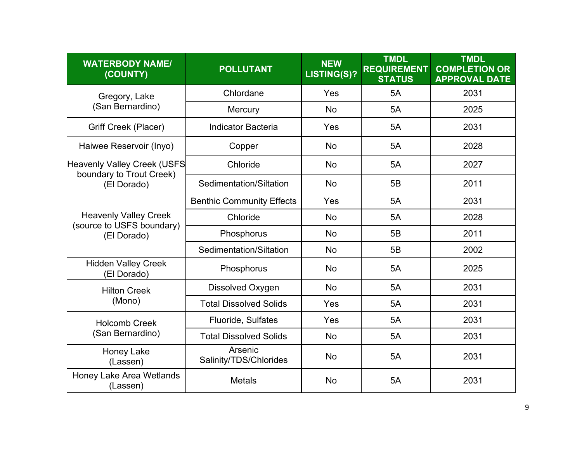| <b>WATERBODY NAME/</b><br>(COUNTY)                        | <b>POLLUTANT</b>                  | <b>NEW</b><br>LISTING(S)? | <b>TMDL</b><br><b>REQUIREMENT</b><br><b>STATUS</b> | <b>TMDL</b><br><b>COMPLETION OR</b><br><b>APPROVAL DATE</b> |
|-----------------------------------------------------------|-----------------------------------|---------------------------|----------------------------------------------------|-------------------------------------------------------------|
| Gregory, Lake                                             | Chlordane                         | Yes                       | 5A                                                 | 2031                                                        |
| (San Bernardino)                                          | Mercury                           | <b>No</b>                 | 5A                                                 | 2025                                                        |
| <b>Griff Creek (Placer)</b>                               | <b>Indicator Bacteria</b>         | Yes                       | 5A                                                 | 2031                                                        |
| Haiwee Reservoir (Inyo)                                   | Copper                            | <b>No</b>                 | 5A                                                 | 2028                                                        |
| Heavenly Valley Creek (USFS                               | Chloride                          | <b>No</b>                 | 5A                                                 | 2027                                                        |
| boundary to Trout Creek)<br>(El Dorado)                   | Sedimentation/Siltation           | <b>No</b>                 | 5B                                                 | 2011                                                        |
|                                                           | <b>Benthic Community Effects</b>  | Yes                       | 5A                                                 | 2031                                                        |
| <b>Heavenly Valley Creek</b><br>(source to USFS boundary) | Chloride                          | <b>No</b>                 | 5A                                                 | 2028                                                        |
| (El Dorado)                                               | Phosphorus                        | <b>No</b>                 | 5B                                                 | 2011                                                        |
|                                                           | Sedimentation/Siltation           | <b>No</b>                 | 5B                                                 | 2002                                                        |
| <b>Hidden Valley Creek</b><br>(El Dorado)                 | Phosphorus                        | <b>No</b>                 | 5A                                                 | 2025                                                        |
| <b>Hilton Creek</b>                                       | Dissolved Oxygen                  | No                        | 5A                                                 | 2031                                                        |
| (Mono)                                                    | <b>Total Dissolved Solids</b>     | Yes                       | 5A                                                 | 2031                                                        |
| <b>Holcomb Creek</b>                                      | Fluoride, Sulfates                | Yes                       | 5A                                                 | 2031                                                        |
| (San Bernardino)                                          | <b>Total Dissolved Solids</b>     | No                        | 5A                                                 | 2031                                                        |
| <b>Honey Lake</b><br>(Lassen)                             | Arsenic<br>Salinity/TDS/Chlorides | <b>No</b>                 | 5A                                                 | 2031                                                        |
| <b>Honey Lake Area Wetlands</b><br>(Lassen)               | <b>Metals</b>                     | No                        | 5A                                                 | 2031                                                        |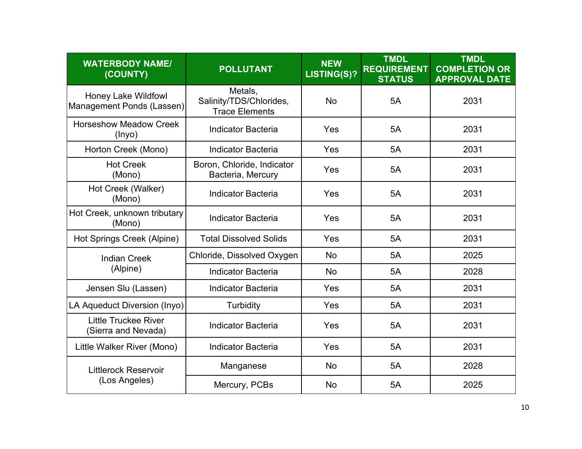| <b>WATERBODY NAME/</b><br>(COUNTY)                      | <b>POLLUTANT</b>                                            | <b>NEW</b><br>LISTING(S)? | <b>TMDL</b><br><b>REQUIREMENT</b><br><b>STATUS</b> | <b>TMDL</b><br><b>COMPLETION OR</b><br><b>APPROVAL DATE</b> |
|---------------------------------------------------------|-------------------------------------------------------------|---------------------------|----------------------------------------------------|-------------------------------------------------------------|
| <b>Honey Lake Wildfowl</b><br>Management Ponds (Lassen) | Metals,<br>Salinity/TDS/Chlorides,<br><b>Trace Elements</b> | <b>No</b>                 | 5A                                                 | 2031                                                        |
| <b>Horseshow Meadow Creek</b><br>(Inyo)                 | <b>Indicator Bacteria</b>                                   | Yes                       | 5A                                                 | 2031                                                        |
| Horton Creek (Mono)                                     | <b>Indicator Bacteria</b>                                   | Yes                       | 5A                                                 | 2031                                                        |
| <b>Hot Creek</b><br>(Mono)                              | Boron, Chloride, Indicator<br>Bacteria, Mercury             | Yes                       | 5A                                                 | 2031                                                        |
| Hot Creek (Walker)<br>(Mono)                            | <b>Indicator Bacteria</b>                                   | Yes                       | 5A                                                 | 2031                                                        |
| Hot Creek, unknown tributary<br>(Mono)                  | <b>Indicator Bacteria</b>                                   | Yes                       | 5A                                                 | 2031                                                        |
| Hot Springs Creek (Alpine)                              | <b>Total Dissolved Solids</b>                               | Yes                       | 5A                                                 | 2031                                                        |
| <b>Indian Creek</b>                                     | Chloride, Dissolved Oxygen                                  | <b>No</b>                 | 5A                                                 | 2025                                                        |
| (Alpine)                                                | <b>Indicator Bacteria</b>                                   | <b>No</b>                 | 5A                                                 | 2028                                                        |
| Jensen Slu (Lassen)                                     | <b>Indicator Bacteria</b>                                   | Yes                       | 5A                                                 | 2031                                                        |
| LA Aqueduct Diversion (Inyo)                            | <b>Turbidity</b>                                            | Yes                       | 5A                                                 | 2031                                                        |
| <b>Little Truckee River</b><br>(Sierra and Nevada)      | <b>Indicator Bacteria</b>                                   | Yes                       | 5A                                                 | 2031                                                        |
| Little Walker River (Mono)                              | <b>Indicator Bacteria</b>                                   | Yes                       | 5A                                                 | 2031                                                        |
| <b>Littlerock Reservoir</b>                             | Manganese                                                   | No                        | 5A                                                 | 2028                                                        |
| (Los Angeles)                                           | Mercury, PCBs                                               | No                        | 5A                                                 | 2025                                                        |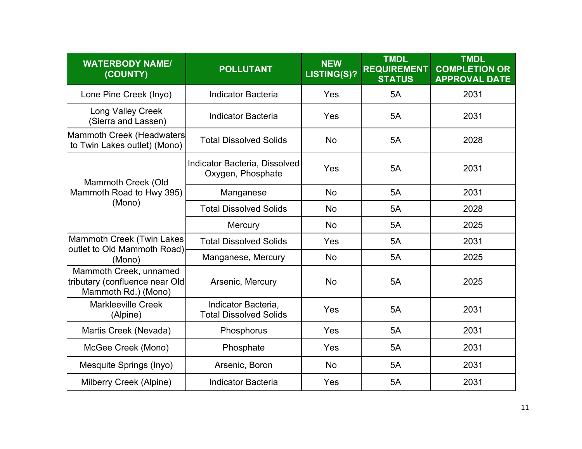| <b>WATERBODY NAME/</b><br>(COUNTY)                                              | <b>POLLUTANT</b>                                     | <b>NEW</b><br>LISTING(S)? | <b>TMDL</b><br><b>REQUIREMENT</b><br><b>STATUS</b> | <b>TMDL</b><br><b>COMPLETION OR</b><br><b>APPROVAL DATE</b> |
|---------------------------------------------------------------------------------|------------------------------------------------------|---------------------------|----------------------------------------------------|-------------------------------------------------------------|
| Lone Pine Creek (Inyo)                                                          | <b>Indicator Bacteria</b>                            | Yes                       | 5A                                                 | 2031                                                        |
| <b>Long Valley Creek</b><br>(Sierra and Lassen)                                 | <b>Indicator Bacteria</b>                            | Yes                       | 5A                                                 | 2031                                                        |
| Mammoth Creek (Headwaters<br>to Twin Lakes outlet) (Mono)                       | <b>Total Dissolved Solids</b>                        | No                        | 5A                                                 | 2028                                                        |
| Mammoth Creek (Old                                                              | Indicator Bacteria, Dissolved<br>Oxygen, Phosphate   | Yes                       | 5A                                                 | 2031                                                        |
| Mammoth Road to Hwy 395)                                                        | Manganese                                            | <b>No</b>                 | 5A                                                 | 2031                                                        |
| (Mono)                                                                          | <b>Total Dissolved Solids</b>                        | <b>No</b>                 | 5A                                                 | 2028                                                        |
|                                                                                 | Mercury                                              | No                        | 5A                                                 | 2025                                                        |
| Mammoth Creek (Twin Lakes<br>outlet to Old Mammoth Road)                        | <b>Total Dissolved Solids</b>                        | Yes                       | 5A                                                 | 2031                                                        |
| (Mono)                                                                          | Manganese, Mercury                                   | No                        | 5A                                                 | 2025                                                        |
| Mammoth Creek, unnamed<br>tributary (confluence near Old<br>Mammoth Rd.) (Mono) | Arsenic, Mercury                                     | <b>No</b>                 | 5A                                                 | 2025                                                        |
| <b>Markleeville Creek</b><br>(Alpine)                                           | Indicator Bacteria,<br><b>Total Dissolved Solids</b> | Yes                       | 5A                                                 | 2031                                                        |
| Martis Creek (Nevada)                                                           | Phosphorus                                           | Yes                       | 5A                                                 | 2031                                                        |
| McGee Creek (Mono)                                                              | Phosphate                                            | Yes                       | 5A                                                 | 2031                                                        |
| Mesquite Springs (Inyo)                                                         | Arsenic, Boron                                       | <b>No</b>                 | 5A                                                 | 2031                                                        |
| Milberry Creek (Alpine)                                                         | <b>Indicator Bacteria</b>                            | Yes                       | 5A                                                 | 2031                                                        |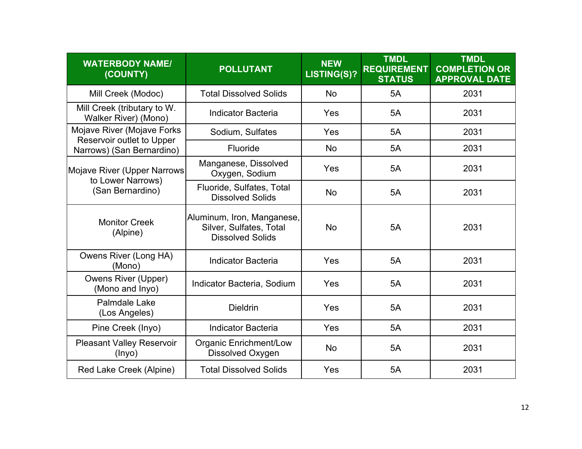| <b>WATERBODY NAME/</b><br>(COUNTY)                      | <b>POLLUTANT</b>                                                                 | <b>NEW</b><br>LISTING(S)? | <b>TMDL</b><br><b>REQUIREMENT</b><br><b>STATUS</b> | <b>TMDL</b><br><b>COMPLETION OR</b><br><b>APPROVAL DATE</b> |
|---------------------------------------------------------|----------------------------------------------------------------------------------|---------------------------|----------------------------------------------------|-------------------------------------------------------------|
| Mill Creek (Modoc)                                      | <b>Total Dissolved Solids</b>                                                    | <b>No</b>                 | 5A                                                 | 2031                                                        |
| Mill Creek (tributary to W.<br>Walker River) (Mono)     | <b>Indicator Bacteria</b>                                                        | Yes                       | 5A                                                 | 2031                                                        |
| Mojave River (Mojave Forks<br>Reservoir outlet to Upper | Sodium, Sulfates                                                                 | Yes                       | 5A                                                 | 2031                                                        |
| Narrows) (San Bernardino)                               | Fluoride                                                                         | <b>No</b>                 | 5A                                                 | 2031                                                        |
| Mojave River (Upper Narrows<br>to Lower Narrows)        | Manganese, Dissolved<br>Oxygen, Sodium                                           | Yes                       | 5A                                                 | 2031                                                        |
| (San Bernardino)                                        | Fluoride, Sulfates, Total<br><b>Dissolved Solids</b>                             | No                        | 5A                                                 | 2031                                                        |
| <b>Monitor Creek</b><br>(Alpine)                        | Aluminum, Iron, Manganese,<br>Silver, Sulfates, Total<br><b>Dissolved Solids</b> | <b>No</b>                 | 5A                                                 | 2031                                                        |
| Owens River (Long HA)<br>(Mono)                         | <b>Indicator Bacteria</b>                                                        | Yes                       | 5A                                                 | 2031                                                        |
| <b>Owens River (Upper)</b><br>(Mono and Inyo)           | Indicator Bacteria, Sodium                                                       | Yes                       | 5A                                                 | 2031                                                        |
| Palmdale Lake<br>(Los Angeles)                          | <b>Dieldrin</b>                                                                  | Yes                       | 5A                                                 | 2031                                                        |
| Pine Creek (Inyo)                                       | <b>Indicator Bacteria</b>                                                        | Yes                       | 5A                                                 | 2031                                                        |
| <b>Pleasant Valley Reservoir</b><br>$($ lnyo $)$        | <b>Organic Enrichment/Low</b><br>Dissolved Oxygen                                | No                        | 5A                                                 | 2031                                                        |
| Red Lake Creek (Alpine)                                 | <b>Total Dissolved Solids</b>                                                    | Yes                       | 5A                                                 | 2031                                                        |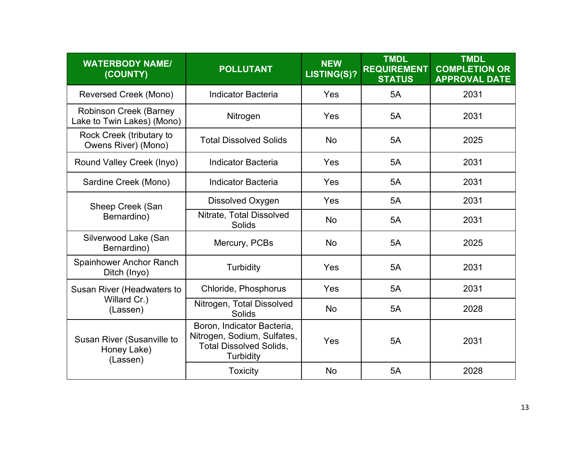| <b>WATERBODY NAME/</b><br>(COUNTY)                          | <b>POLLUTANT</b>                                                                                                | <b>NEW</b><br>LISTING(S)? | <b>TMDL</b><br><b>REQUIREMENT</b><br><b>STATUS</b> | <b>TMDL</b><br><b>COMPLETION OR</b><br><b>APPROVAL DATE</b> |
|-------------------------------------------------------------|-----------------------------------------------------------------------------------------------------------------|---------------------------|----------------------------------------------------|-------------------------------------------------------------|
| Reversed Creek (Mono)                                       | <b>Indicator Bacteria</b>                                                                                       | Yes                       | 5A                                                 | 2031                                                        |
| <b>Robinson Creek (Barney</b><br>Lake to Twin Lakes) (Mono) | Nitrogen                                                                                                        | Yes                       | 5A                                                 | 2031                                                        |
| Rock Creek (tributary to<br>Owens River) (Mono)             | <b>Total Dissolved Solids</b>                                                                                   | No                        | 5A                                                 | 2025                                                        |
| Round Valley Creek (Inyo)                                   | <b>Indicator Bacteria</b>                                                                                       | Yes                       | 5A                                                 | 2031                                                        |
| Sardine Creek (Mono)                                        | <b>Indicator Bacteria</b>                                                                                       | Yes                       | 5A                                                 | 2031                                                        |
| Sheep Creek (San<br>Bernardino)                             | Dissolved Oxygen                                                                                                | Yes                       | 5A                                                 | 2031                                                        |
|                                                             | Nitrate, Total Dissolved<br>Solids                                                                              | <b>No</b>                 | 5A                                                 | 2031                                                        |
| Silverwood Lake (San<br>Bernardino)                         | Mercury, PCBs                                                                                                   | <b>No</b>                 | 5A                                                 | 2025                                                        |
| Spainhower Anchor Ranch<br>Ditch (Inyo)                     | <b>Turbidity</b>                                                                                                | Yes                       | 5A                                                 | 2031                                                        |
| <b>Susan River (Headwaters to</b>                           | Chloride, Phosphorus                                                                                            | Yes                       | 5A                                                 | 2031                                                        |
| Willard Cr.)<br>(Lassen)                                    | Nitrogen, Total Dissolved<br>Solids                                                                             | No                        | 5A                                                 | 2028                                                        |
| Susan River (Susanville to<br>Honey Lake)<br>(Lassen)       | Boron, Indicator Bacteria,<br>Nitrogen, Sodium, Sulfates,<br><b>Total Dissolved Solids,</b><br><b>Turbidity</b> | Yes                       | 5A                                                 | 2031                                                        |
|                                                             | <b>Toxicity</b>                                                                                                 | No                        | 5A                                                 | 2028                                                        |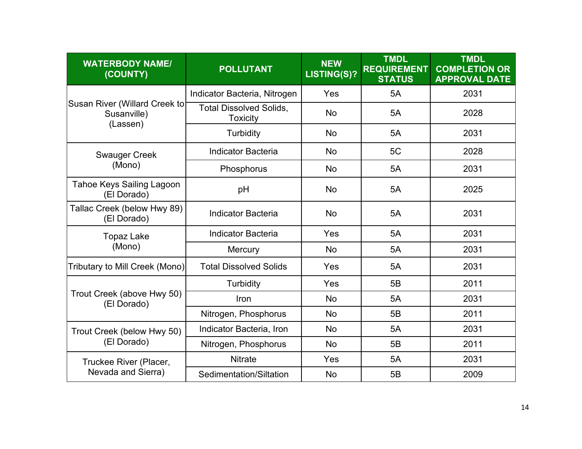| <b>WATERBODY NAME/</b><br>(COUNTY)                       | <b>POLLUTANT</b>                                  | <b>NEW</b><br>LISTING(S)? | <b>TMDL</b><br><b>REQUIREMENT</b><br><b>STATUS</b> | <b>TMDL</b><br><b>COMPLETION OR</b><br><b>APPROVAL DATE</b> |
|----------------------------------------------------------|---------------------------------------------------|---------------------------|----------------------------------------------------|-------------------------------------------------------------|
|                                                          | Indicator Bacteria, Nitrogen                      | Yes                       | 5A                                                 | 2031                                                        |
| Susan River (Willard Creek to<br>Susanville)<br>(Lassen) | <b>Total Dissolved Solids,</b><br><b>Toxicity</b> | <b>No</b>                 | 5A                                                 | 2028                                                        |
|                                                          | Turbidity                                         | <b>No</b>                 | 5A                                                 | 2031                                                        |
| <b>Swauger Creek</b>                                     | <b>Indicator Bacteria</b>                         | <b>No</b>                 | 5C                                                 | 2028                                                        |
| (Mono)                                                   | Phosphorus                                        | <b>No</b>                 | 5A                                                 | 2031                                                        |
| <b>Tahoe Keys Sailing Lagoon</b><br>(El Dorado)          | pH                                                | No                        | 5A                                                 | 2025                                                        |
| Tallac Creek (below Hwy 89)<br>(El Dorado)               | <b>Indicator Bacteria</b>                         | No                        | 5A                                                 | 2031                                                        |
| <b>Topaz Lake</b>                                        | <b>Indicator Bacteria</b>                         | Yes                       | 5A                                                 | 2031                                                        |
| (Mono)                                                   | Mercury                                           | <b>No</b>                 | 5A                                                 | 2031                                                        |
| Tributary to Mill Creek (Mono)                           | <b>Total Dissolved Solids</b>                     | Yes                       | 5A                                                 | 2031                                                        |
|                                                          | <b>Turbidity</b>                                  | Yes                       | 5B                                                 | 2011                                                        |
| Trout Creek (above Hwy 50)<br>(El Dorado)                | Iron                                              | <b>No</b>                 | 5A                                                 | 2031                                                        |
|                                                          | Nitrogen, Phosphorus                              | <b>No</b>                 | 5B                                                 | 2011                                                        |
| Trout Creek (below Hwy 50)                               | Indicator Bacteria, Iron                          | No                        | 5A                                                 | 2031                                                        |
| (El Dorado)                                              | Nitrogen, Phosphorus                              | <b>No</b>                 | 5B                                                 | 2011                                                        |
| Truckee River (Placer,                                   | <b>Nitrate</b>                                    | Yes                       | 5A                                                 | 2031                                                        |
| Nevada and Sierra)                                       | Sedimentation/Siltation                           | No                        | 5B                                                 | 2009                                                        |